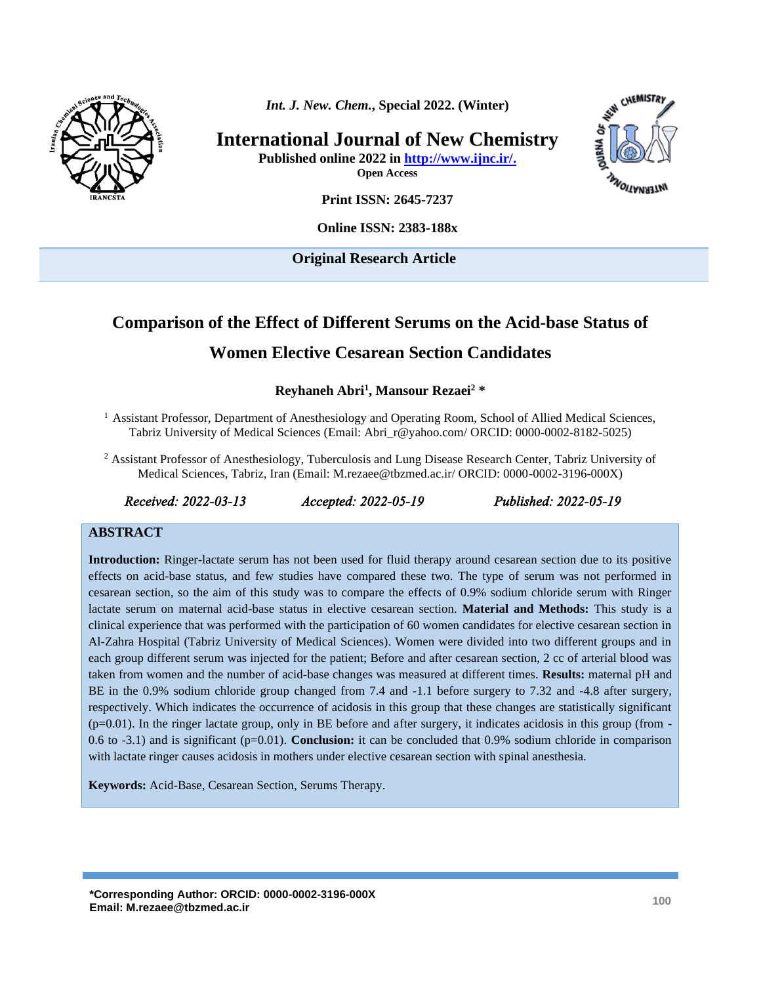

*Int. J. New. Chem.***, Special 2022. (Winter)**

**International Journal of New Chemistry**

**Published online 2022 in [http://www.ijnc.ir/.](http://www.ijnc.ir/) Open Access**



**Print ISSN: 2645-7237**

**Online ISSN: 2383-188x** 

**Original Research Article** 

# **Comparison of the Effect of Different Serums on the Acid-base Status of Women Elective Cesarean Section Candidates**

**Reyhaneh Abri<sup>1</sup> , Mansour Rezaei<sup>2</sup> \***

- $<sup>1</sup>$  Assistant Professor, Department of Anesthesiology and Operating Room, School of Allied Medical Sciences,</sup> Tabriz University of Medical Sciences (Email: [Abri\\_r@yahoo.com/](mailto:Abri_r@yahoo.com/) ORCID: 0000-0002-8182-5025)
- <sup>2</sup> Assistant Professor of Anesthesiology, Tuberculosis and Lung Disease Research Center, Tabriz University of Medical Sciences, Tabriz, Iran (Email: M.rezaee@tbzmed.ac.ir/ ORCID: 0000-0002-3196-000X)

*Received: 2022-03-13 Accepted: 2022-05-19 Published: 2022-05-19* 

#### **ABSTRACT**

**Introduction:** Ringer-lactate serum has not been used for fluid therapy around cesarean section due to its positive effects on acid-base status, and few studies have compared these two. The type of serum was not performed in cesarean section, so the aim of this study was to compare the effects of 0.9% sodium chloride serum with Ringer lactate serum on maternal acid-base status in elective cesarean section. **Material and Methods:** This study is a clinical experience that was performed with the participation of 60 women candidates for elective cesarean section in Al-Zahra Hospital (Tabriz University of Medical Sciences). Women were divided into two different groups and in each group different serum was injected for the patient; Before and after cesarean section, 2 cc of arterial blood was taken from women and the number of acid-base changes was measured at different times. **Results:** maternal pH and BE in the 0.9% sodium chloride group changed from 7.4 and -1.1 before surgery to 7.32 and -4.8 after surgery, respectively. Which indicates the occurrence of acidosis in this group that these changes are statistically significant  $(p=0.01)$ . In the ringer lactate group, only in BE before and after surgery, it indicates acidosis in this group (from -0.6 to -3.1) and is significant (p=0.01). **Conclusion:** it can be concluded that 0.9% sodium chloride in comparison with lactate ringer causes acidosis in mothers under elective cesarean section with spinal anesthesia.

**Keywords:** Acid-Base, Cesarean Section, Serums Therapy.

**\*Corresponding Author: ORCID: 0000-0002-3196-000X Email: M.rezaee@tbzmed.ac.ir <sup>100</sup>**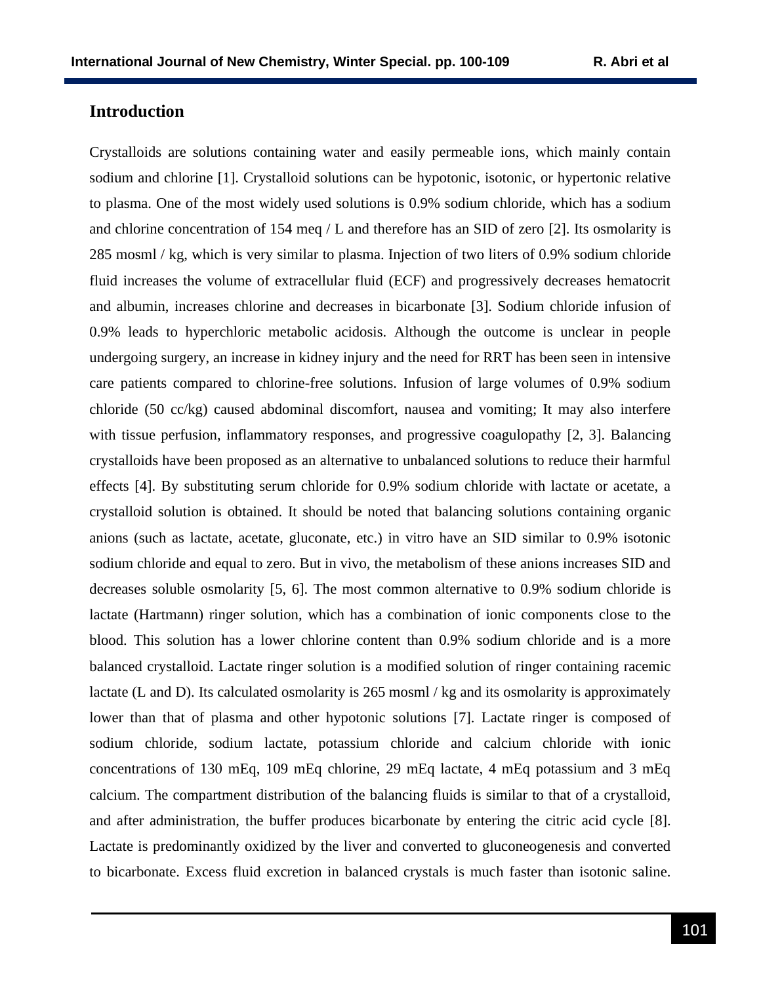#### **Introduction**

Crystalloids are solutions containing water and easily permeable ions, which mainly contain sodium and chlorine [1]. Crystalloid solutions can be hypotonic, isotonic, or hypertonic relative to plasma. One of the most widely used solutions is 0.9% sodium chloride, which has a sodium and chlorine concentration of 154 meq / L and therefore has an SID of zero [2]. Its osmolarity is 285 mosml / kg, which is very similar to plasma. Injection of two liters of 0.9% sodium chloride fluid increases the volume of extracellular fluid (ECF) and progressively decreases hematocrit and albumin, increases chlorine and decreases in bicarbonate [3]. Sodium chloride infusion of 0.9% leads to hyperchloric metabolic acidosis. Although the outcome is unclear in people undergoing surgery, an increase in kidney injury and the need for RRT has been seen in intensive care patients compared to chlorine-free solutions. Infusion of large volumes of 0.9% sodium chloride (50 cc/kg) caused abdominal discomfort, nausea and vomiting; It may also interfere with tissue perfusion, inflammatory responses, and progressive coagulopathy [2, 3]. Balancing crystalloids have been proposed as an alternative to unbalanced solutions to reduce their harmful effects [4]. By substituting serum chloride for 0.9% sodium chloride with lactate or acetate, a crystalloid solution is obtained. It should be noted that balancing solutions containing organic anions (such as lactate, acetate, gluconate, etc.) in vitro have an SID similar to 0.9% isotonic sodium chloride and equal to zero. But in vivo, the metabolism of these anions increases SID and decreases soluble osmolarity [5, 6]. The most common alternative to 0.9% sodium chloride is lactate (Hartmann) ringer solution, which has a combination of ionic components close to the blood. This solution has a lower chlorine content than 0.9% sodium chloride and is a more balanced crystalloid. Lactate ringer solution is a modified solution of ringer containing racemic lactate (L and D). Its calculated osmolarity is 265 mosml / kg and its osmolarity is approximately lower than that of plasma and other hypotonic solutions [7]. Lactate ringer is composed of sodium chloride, sodium lactate, potassium chloride and calcium chloride with ionic concentrations of 130 mEq, 109 mEq chlorine, 29 mEq lactate, 4 mEq potassium and 3 mEq calcium. The compartment distribution of the balancing fluids is similar to that of a crystalloid, and after administration, the buffer produces bicarbonate by entering the citric acid cycle [8]. Lactate is predominantly oxidized by the liver and converted to gluconeogenesis and converted to bicarbonate. Excess fluid excretion in balanced crystals is much faster than isotonic saline.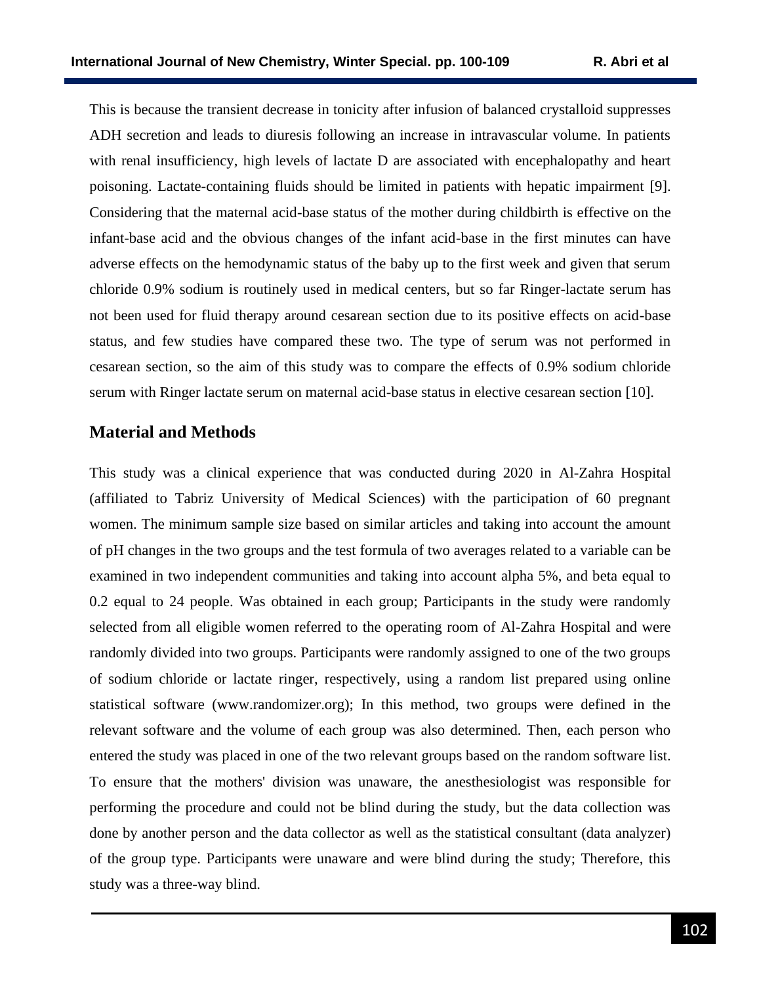This is because the transient decrease in tonicity after infusion of balanced crystalloid suppresses ADH secretion and leads to diuresis following an increase in intravascular volume. In patients with renal insufficiency, high levels of lactate D are associated with encephalopathy and heart poisoning. Lactate-containing fluids should be limited in patients with hepatic impairment [9]. Considering that the maternal acid-base status of the mother during childbirth is effective on the infant-base acid and the obvious changes of the infant acid-base in the first minutes can have adverse effects on the hemodynamic status of the baby up to the first week and given that serum chloride 0.9% sodium is routinely used in medical centers, but so far Ringer-lactate serum has not been used for fluid therapy around cesarean section due to its positive effects on acid-base status, and few studies have compared these two. The type of serum was not performed in cesarean section, so the aim of this study was to compare the effects of 0.9% sodium chloride serum with Ringer lactate serum on maternal acid-base status in elective cesarean section [10].

#### **Material and Methods**

This study was a clinical experience that was conducted during 2020 in Al-Zahra Hospital (affiliated to Tabriz University of Medical Sciences) with the participation of 60 pregnant women. The minimum sample size based on similar articles and taking into account the amount of pH changes in the two groups and the test formula of two averages related to a variable can be examined in two independent communities and taking into account alpha 5%, and beta equal to 0.2 equal to 24 people. Was obtained in each group; Participants in the study were randomly selected from all eligible women referred to the operating room of Al-Zahra Hospital and were randomly divided into two groups. Participants were randomly assigned to one of the two groups of sodium chloride or lactate ringer, respectively, using a random list prepared using online statistical software (www.randomizer.org); In this method, two groups were defined in the relevant software and the volume of each group was also determined. Then, each person who entered the study was placed in one of the two relevant groups based on the random software list. To ensure that the mothers' division was unaware, the anesthesiologist was responsible for performing the procedure and could not be blind during the study, but the data collection was done by another person and the data collector as well as the statistical consultant (data analyzer) of the group type. Participants were unaware and were blind during the study; Therefore, this study was a three-way blind.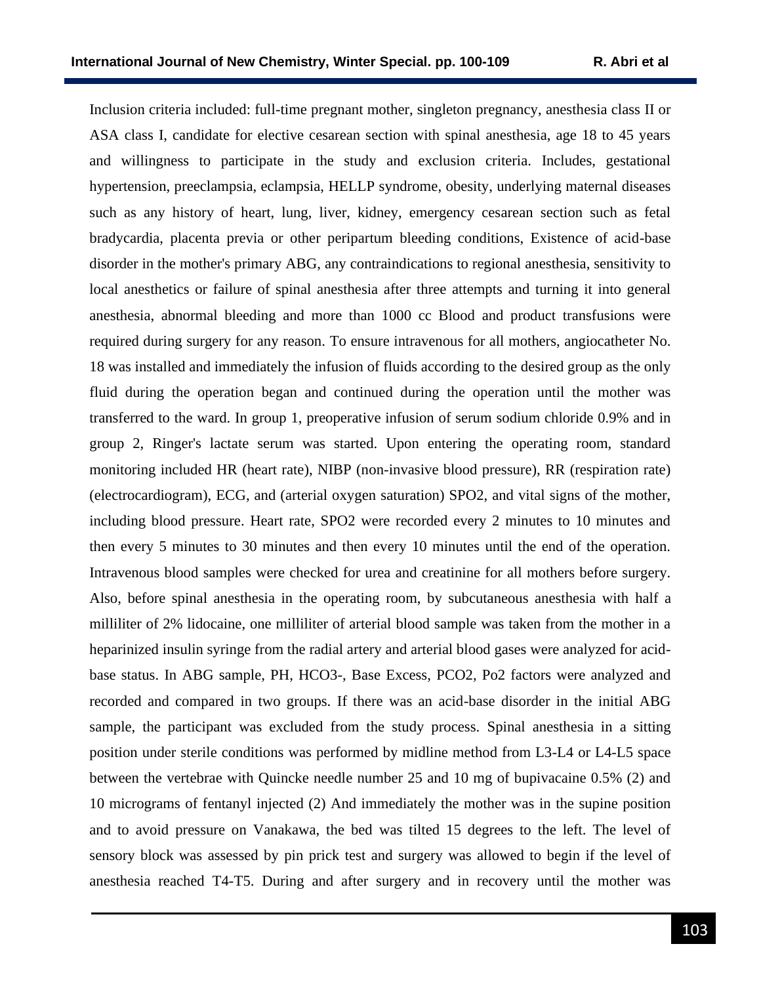Inclusion criteria included: full-time pregnant mother, singleton pregnancy, anesthesia class II or ASA class I, candidate for elective cesarean section with spinal anesthesia, age 18 to 45 years and willingness to participate in the study and exclusion criteria. Includes, gestational hypertension, preeclampsia, eclampsia, HELLP syndrome, obesity, underlying maternal diseases such as any history of heart, lung, liver, kidney, emergency cesarean section such as fetal bradycardia, placenta previa or other peripartum bleeding conditions, Existence of acid-base disorder in the mother's primary ABG, any contraindications to regional anesthesia, sensitivity to local anesthetics or failure of spinal anesthesia after three attempts and turning it into general anesthesia, abnormal bleeding and more than 1000 cc Blood and product transfusions were required during surgery for any reason. To ensure intravenous for all mothers, angiocatheter No. 18 was installed and immediately the infusion of fluids according to the desired group as the only fluid during the operation began and continued during the operation until the mother was transferred to the ward. In group 1, preoperative infusion of serum sodium chloride 0.9% and in group 2, Ringer's lactate serum was started. Upon entering the operating room, standard monitoring included HR (heart rate), NIBP (non-invasive blood pressure), RR (respiration rate) (electrocardiogram), ECG, and (arterial oxygen saturation) SPO2, and vital signs of the mother, including blood pressure. Heart rate, SPO2 were recorded every 2 minutes to 10 minutes and then every 5 minutes to 30 minutes and then every 10 minutes until the end of the operation. Intravenous blood samples were checked for urea and creatinine for all mothers before surgery. Also, before spinal anesthesia in the operating room, by subcutaneous anesthesia with half a milliliter of 2% lidocaine, one milliliter of arterial blood sample was taken from the mother in a heparinized insulin syringe from the radial artery and arterial blood gases were analyzed for acidbase status. In ABG sample, PH, HCO3-, Base Excess, PCO2, Po2 factors were analyzed and recorded and compared in two groups. If there was an acid-base disorder in the initial ABG sample, the participant was excluded from the study process. Spinal anesthesia in a sitting position under sterile conditions was performed by midline method from L3-L4 or L4-L5 space between the vertebrae with Quincke needle number 25 and 10 mg of bupivacaine 0.5% (2) and 10 micrograms of fentanyl injected (2) And immediately the mother was in the supine position and to avoid pressure on Vanakawa, the bed was tilted 15 degrees to the left. The level of sensory block was assessed by pin prick test and surgery was allowed to begin if the level of anesthesia reached T4-T5. During and after surgery and in recovery until the mother was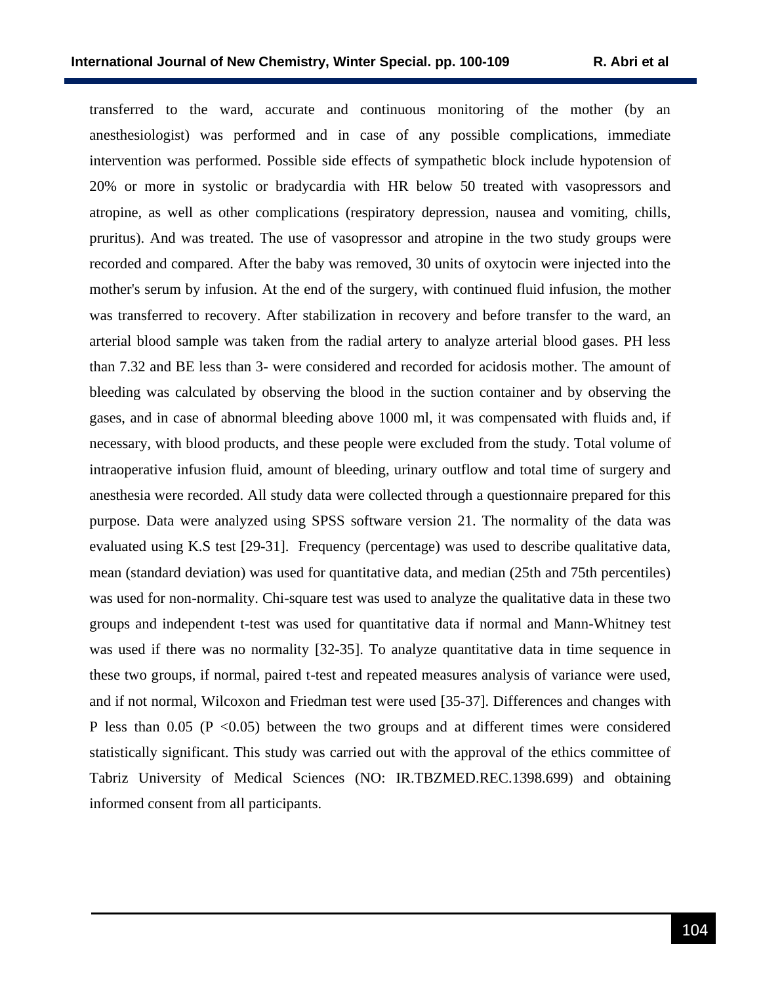transferred to the ward, accurate and continuous monitoring of the mother (by an anesthesiologist) was performed and in case of any possible complications, immediate intervention was performed. Possible side effects of sympathetic block include hypotension of 20% or more in systolic or bradycardia with HR below 50 treated with vasopressors and atropine, as well as other complications (respiratory depression, nausea and vomiting, chills, pruritus). And was treated. The use of vasopressor and atropine in the two study groups were recorded and compared. After the baby was removed, 30 units of oxytocin were injected into the mother's serum by infusion. At the end of the surgery, with continued fluid infusion, the mother was transferred to recovery. After stabilization in recovery and before transfer to the ward, an arterial blood sample was taken from the radial artery to analyze arterial blood gases. PH less than 7.32 and BE less than 3- were considered and recorded for acidosis mother. The amount of bleeding was calculated by observing the blood in the suction container and by observing the gases, and in case of abnormal bleeding above 1000 ml, it was compensated with fluids and, if necessary, with blood products, and these people were excluded from the study. Total volume of intraoperative infusion fluid, amount of bleeding, urinary outflow and total time of surgery and anesthesia were recorded. All study data were collected through a questionnaire prepared for this purpose. Data were analyzed using SPSS software version 21. The normality of the data was evaluated using K.S test [29-31]. Frequency (percentage) was used to describe qualitative data, mean (standard deviation) was used for quantitative data, and median (25th and 75th percentiles) was used for non-normality. Chi-square test was used to analyze the qualitative data in these two groups and independent t-test was used for quantitative data if normal and Mann-Whitney test was used if there was no normality [32-35]. To analyze quantitative data in time sequence in these two groups, if normal, paired t-test and repeated measures analysis of variance were used, and if not normal, Wilcoxon and Friedman test were used [35-37]. Differences and changes with P less than  $0.05$  (P < 0.05) between the two groups and at different times were considered statistically significant. This study was carried out with the approval of the ethics committee of Tabriz University of Medical Sciences (NO: [IR.TBZMED.REC.1398.699\)](http://ethics.research.ac.ir/IR.TBZMED.REC.1398.699) and obtaining informed consent from all participants.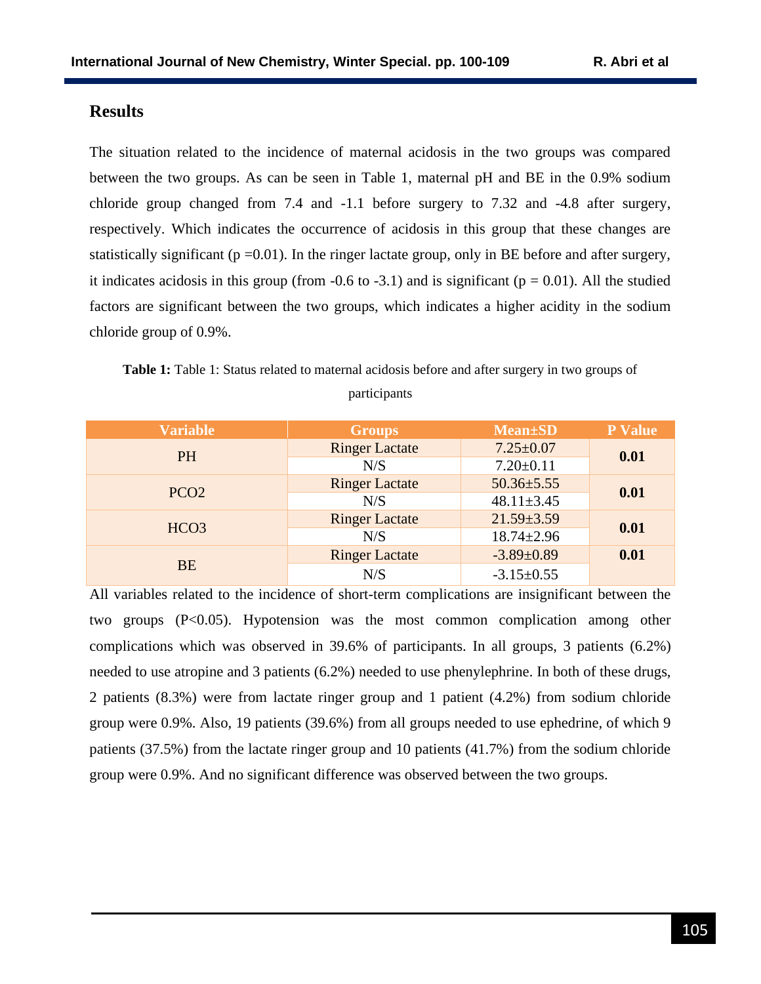#### **Results**

The situation related to the incidence of maternal acidosis in the two groups was compared between the two groups. As can be seen in Table 1, maternal pH and BE in the 0.9% sodium chloride group changed from 7.4 and -1.1 before surgery to 7.32 and -4.8 after surgery, respectively. Which indicates the occurrence of acidosis in this group that these changes are statistically significant ( $p = 0.01$ ). In the ringer lactate group, only in BE before and after surgery, it indicates acidosis in this group (from  $-0.6$  to  $-3.1$ ) and is significant ( $p = 0.01$ ). All the studied factors are significant between the two groups, which indicates a higher acidity in the sodium chloride group of 0.9%.

| <b>Table 1:</b> Table 1: Status related to maternal acidosis before and after surgery in two groups of |  |
|--------------------------------------------------------------------------------------------------------|--|
| <i>narticipants</i>                                                                                    |  |

| <b>Variable</b>  | <b>Groups</b>         | <b>Mean</b> ±SD  | <b>P</b> Value |
|------------------|-----------------------|------------------|----------------|
| <b>PH</b>        | <b>Ringer Lactate</b> | $7.25 \pm 0.07$  | 0.01           |
|                  | N/S                   | $7.20 \pm 0.11$  |                |
| PCO <sub>2</sub> | <b>Ringer Lactate</b> | $50.36 \pm 5.55$ | 0.01           |
|                  | N/S                   | $48.11 \pm 3.45$ |                |
| HCO <sub>3</sub> | <b>Ringer Lactate</b> | $21.59 \pm 3.59$ | 0.01           |
|                  | N/S                   | $18.74 \pm 2.96$ |                |
| <b>BE</b>        | <b>Ringer Lactate</b> | $-3.89 \pm 0.89$ | 0.01           |
|                  | N/S                   | $-3.15 \pm 0.55$ |                |

All variables related to the incidence of short-term complications are insignificant between the two groups (P<0.05). Hypotension was the most common complication among other complications which was observed in 39.6% of participants. In all groups, 3 patients (6.2%) needed to use atropine and 3 patients (6.2%) needed to use phenylephrine. In both of these drugs, 2 patients (8.3%) were from lactate ringer group and 1 patient (4.2%) from sodium chloride group were 0.9%. Also, 19 patients (39.6%) from all groups needed to use ephedrine, of which 9 patients (37.5%) from the lactate ringer group and 10 patients (41.7%) from the sodium chloride group were 0.9%. And no significant difference was observed between the two groups.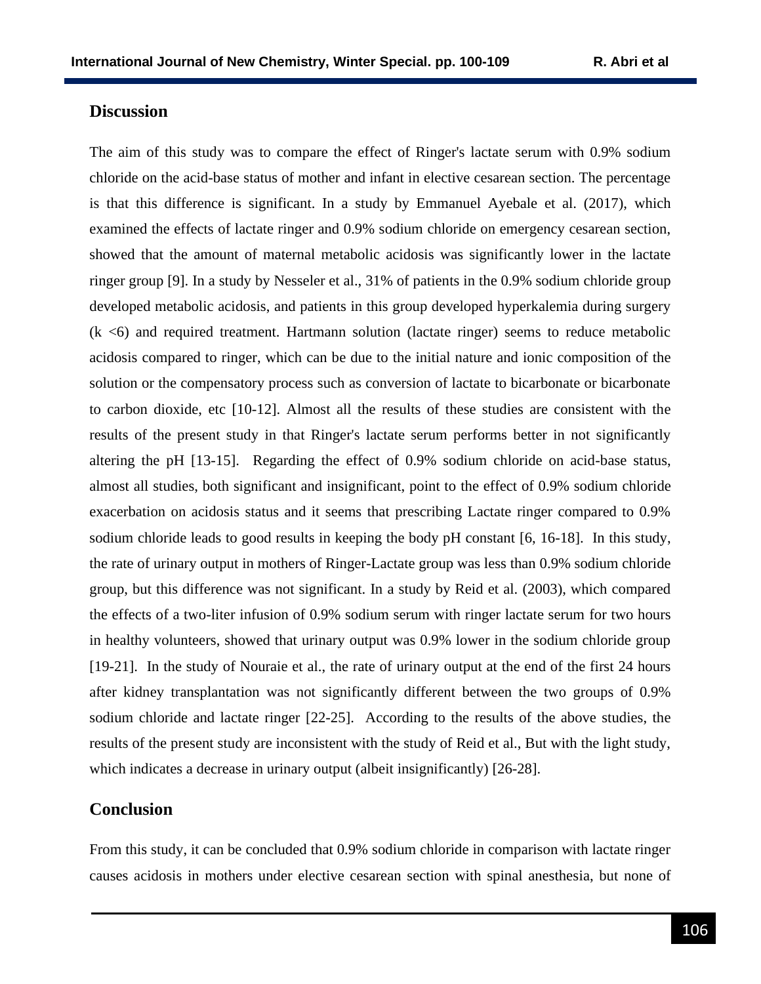#### **Discussion**

The aim of this study was to compare the effect of Ringer's lactate serum with 0.9% sodium chloride on the acid-base status of mother and infant in elective cesarean section. The percentage is that this difference is significant. In a study by Emmanuel Ayebale et al. (2017), which examined the effects of lactate ringer and 0.9% sodium chloride on emergency cesarean section, showed that the amount of maternal metabolic acidosis was significantly lower in the lactate ringer group [9]. In a study by Nesseler et al., 31% of patients in the 0.9% sodium chloride group developed metabolic acidosis, and patients in this group developed hyperkalemia during surgery  $(k \lt 6)$  and required treatment. Hartmann solution (lactate ringer) seems to reduce metabolic acidosis compared to ringer, which can be due to the initial nature and ionic composition of the solution or the compensatory process such as conversion of lactate to bicarbonate or bicarbonate to carbon dioxide, etc [10-12]. Almost all the results of these studies are consistent with the results of the present study in that Ringer's lactate serum performs better in not significantly altering the pH [13-15]. Regarding the effect of 0.9% sodium chloride on acid-base status, almost all studies, both significant and insignificant, point to the effect of 0.9% sodium chloride exacerbation on acidosis status and it seems that prescribing Lactate ringer compared to 0.9% sodium chloride leads to good results in keeping the body pH constant [6, 16-18]. In this study, the rate of urinary output in mothers of Ringer-Lactate group was less than 0.9% sodium chloride group, but this difference was not significant. In a study by Reid et al. (2003), which compared the effects of a two-liter infusion of 0.9% sodium serum with ringer lactate serum for two hours in healthy volunteers, showed that urinary output was 0.9% lower in the sodium chloride group [19-21]. In the study of Nouraie et al., the rate of urinary output at the end of the first 24 hours after kidney transplantation was not significantly different between the two groups of 0.9% sodium chloride and lactate ringer [22-25]. According to the results of the above studies, the results of the present study are inconsistent with the study of Reid et al., But with the light study, which indicates a decrease in urinary output (albeit insignificantly) [26-28].

## **Conclusion**

From this study, it can be concluded that 0.9% sodium chloride in comparison with lactate ringer causes acidosis in mothers under elective cesarean section with spinal anesthesia, but none of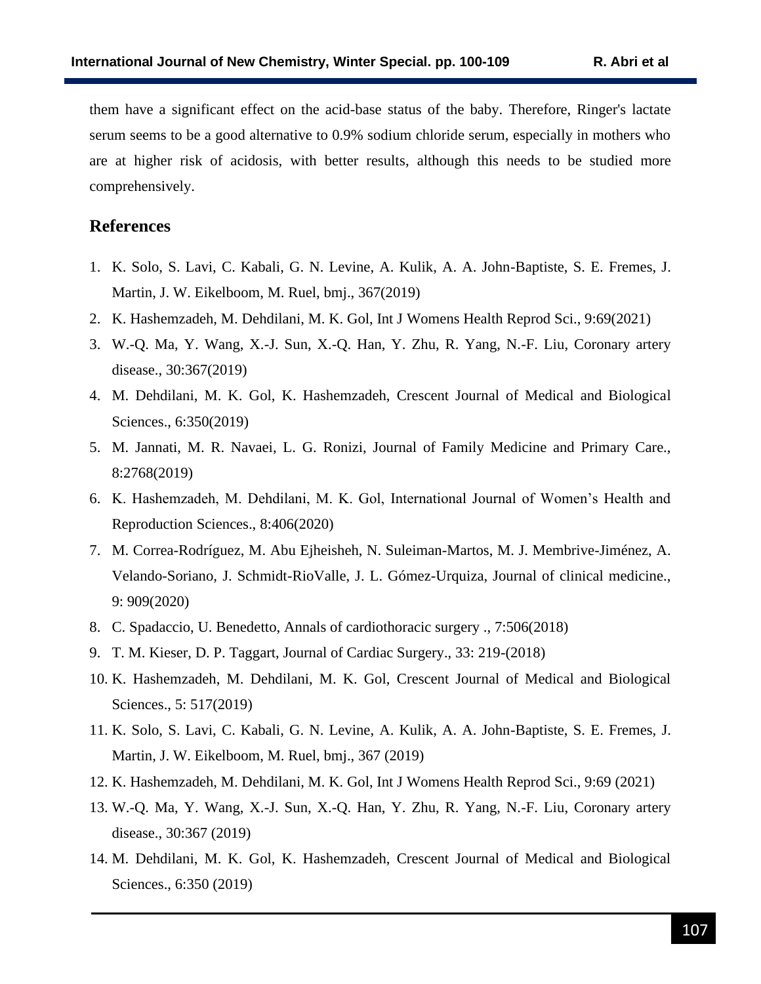them have a significant effect on the acid-base status of the baby. Therefore, Ringer's lactate serum seems to be a good alternative to 0.9% sodium chloride serum, especially in mothers who are at higher risk of acidosis, with better results, although this needs to be studied more comprehensively.

### **References**

- 1. K. Solo, S. Lavi, C. Kabali, G. N. Levine, A. Kulik, A. A. John-Baptiste, S. E. Fremes, J. Martin, J. W. Eikelboom, M. Ruel, bmj., 367(2019)
- 2. K. Hashemzadeh, M. Dehdilani, M. K. Gol, Int J Womens Health Reprod Sci., 9:69(2021)
- 3. W.-Q. Ma, Y. Wang, X.-J. Sun, X.-Q. Han, Y. Zhu, R. Yang, N.-F. Liu, Coronary artery disease., 30:367(2019)
- 4. M. Dehdilani, M. K. Gol, K. Hashemzadeh, Crescent Journal of Medical and Biological Sciences., 6:350(2019)
- 5. M. Jannati, M. R. Navaei, L. G. Ronizi, Journal of Family Medicine and Primary Care., 8:2768(2019)
- 6. K. Hashemzadeh, M. Dehdilani, M. K. Gol, International Journal of Women's Health and Reproduction Sciences., 8:406(2020)
- 7. M. Correa-Rodríguez, M. Abu Ejheisheh, N. Suleiman-Martos, M. J. Membrive-Jiménez, A. Velando-Soriano, J. Schmidt-RioValle, J. L. Gómez-Urquiza, Journal of clinical medicine., 9: 909(2020)
- 8. C. Spadaccio, U. Benedetto, Annals of cardiothoracic surgery ., 7:506(2018)
- 9. T. M. Kieser, D. P. Taggart, Journal of Cardiac Surgery., 33: 219-(2018)
- 10. K. Hashemzadeh, M. Dehdilani, M. K. Gol, Crescent Journal of Medical and Biological Sciences., 5: 517(2019)
- 11. K. Solo, S. Lavi, C. Kabali, G. N. Levine, A. Kulik, A. A. John-Baptiste, S. E. Fremes, J. Martin, J. W. Eikelboom, M. Ruel, bmj., 367 (2019)
- 12. K. Hashemzadeh, M. Dehdilani, M. K. Gol, Int J Womens Health Reprod Sci., 9:69 (2021)
- 13. W.-Q. Ma, Y. Wang, X.-J. Sun, X.-Q. Han, Y. Zhu, R. Yang, N.-F. Liu, Coronary artery disease., 30:367 (2019)
- 14. M. Dehdilani, M. K. Gol, K. Hashemzadeh, Crescent Journal of Medical and Biological Sciences., 6:350 (2019)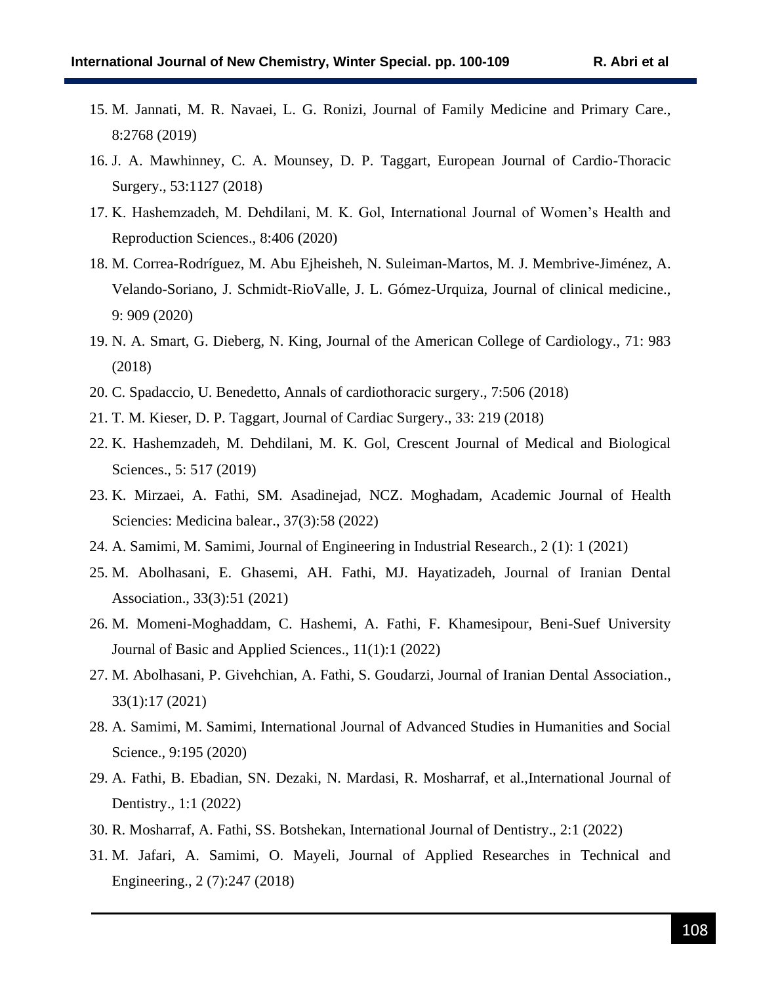- 15. M. Jannati, M. R. Navaei, L. G. Ronizi, Journal of Family Medicine and Primary Care., 8:2768 (2019)
- 16. J. A. Mawhinney, C. A. Mounsey, D. P. Taggart, European Journal of Cardio-Thoracic Surgery., 53:1127 (2018)
- 17. K. Hashemzadeh, M. Dehdilani, M. K. Gol, International Journal of Women's Health and Reproduction Sciences., 8:406 (2020)
- 18. M. Correa-Rodríguez, M. Abu Ejheisheh, N. Suleiman-Martos, M. J. Membrive-Jiménez, A. Velando-Soriano, J. Schmidt-RioValle, J. L. Gómez-Urquiza, Journal of clinical medicine., 9: 909 (2020)
- 19. N. A. Smart, G. Dieberg, N. King, Journal of the American College of Cardiology., 71: 983 (2018)
- 20. C. Spadaccio, U. Benedetto, Annals of cardiothoracic surgery., 7:506 (2018)
- 21. T. M. Kieser, D. P. Taggart, Journal of Cardiac Surgery., 33: 219 (2018)
- 22. K. Hashemzadeh, M. Dehdilani, M. K. Gol, Crescent Journal of Medical and Biological Sciences., 5: 517 (2019)
- 23. K. Mirzaei, A. Fathi, SM. Asadinejad, NCZ. Moghadam, Academic Journal of Health Sciencies: Medicina balear., 37(3):58 (2022)
- 24. A. Samimi, M. Samimi, Journal of Engineering in Industrial Research., 2 (1): 1 (2021)
- 25. M. Abolhasani, E. Ghasemi, AH. Fathi, MJ. Hayatizadeh, Journal of Iranian Dental Association., 33(3):51 (2021)
- 26. M. Momeni-Moghaddam, C. Hashemi, A. Fathi, F. Khamesipour, Beni-Suef University Journal of Basic and Applied Sciences., 11(1):1 (2022)
- 27. M. Abolhasani, P. Givehchian, A. Fathi, S. Goudarzi, Journal of Iranian Dental Association., 33(1):17 (2021)
- 28. A. Samimi, M. Samimi, International Journal of Advanced Studies in Humanities and Social Science., 9:195 (2020)
- 29. A. Fathi, B. Ebadian, SN. Dezaki, N. Mardasi, R. Mosharraf, et al.,International Journal of Dentistry., 1:1 (2022)
- 30. R. Mosharraf, A. Fathi, SS. Botshekan, International Journal of Dentistry., 2:1 (2022)
- 31. M. Jafari, A. Samimi, O. Mayeli, Journal of Applied Researches in Technical and Engineering., 2 (7):247 (2018)